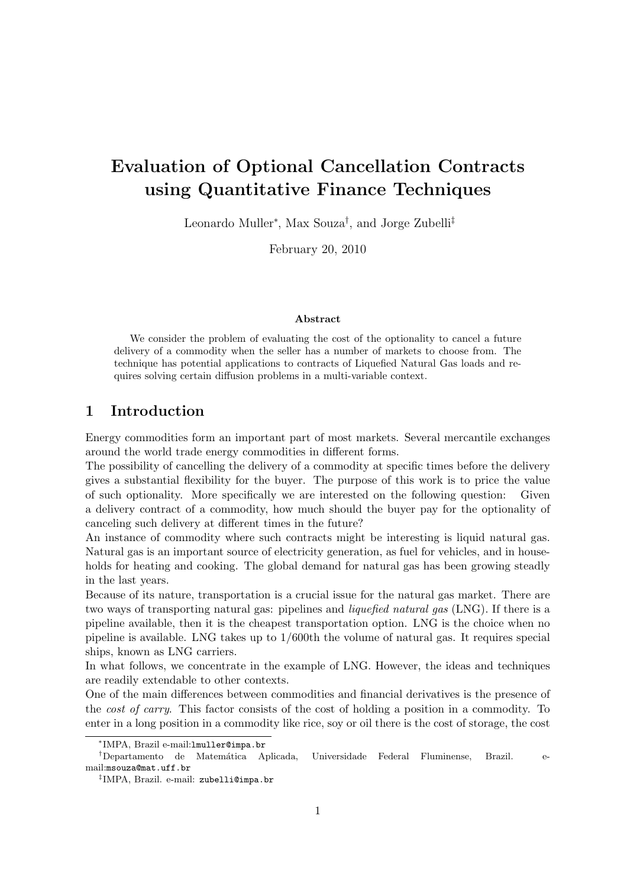# Evaluation of Optional Cancellation Contracts using Quantitative Finance Techniques

Leonardo Muller<sup>∗</sup> , Max Souza† , and Jorge Zubelli‡

February 20, 2010

#### Abstract

We consider the problem of evaluating the cost of the optionality to cancel a future delivery of a commodity when the seller has a number of markets to choose from. The technique has potential applications to contracts of Liquefied Natural Gas loads and requires solving certain diffusion problems in a multi-variable context.

#### 1 Introduction

Energy commodities form an important part of most markets. Several mercantile exchanges around the world trade energy commodities in different forms.

The possibility of cancelling the delivery of a commodity at specific times before the delivery gives a substantial flexibility for the buyer. The purpose of this work is to price the value of such optionality. More specifically we are interested on the following question: Given a delivery contract of a commodity, how much should the buyer pay for the optionality of canceling such delivery at different times in the future?

An instance of commodity where such contracts might be interesting is liquid natural gas. Natural gas is an important source of electricity generation, as fuel for vehicles, and in households for heating and cooking. The global demand for natural gas has been growing steadly in the last years.

Because of its nature, transportation is a crucial issue for the natural gas market. There are two ways of transporting natural gas: pipelines and *liquefied natural gas* (LNG). If there is a pipeline available, then it is the cheapest transportation option. LNG is the choice when no pipeline is available. LNG takes up to 1/600th the volume of natural gas. It requires special ships, known as LNG carriers.

In what follows, we concentrate in the example of LNG. However, the ideas and techniques are readily extendable to other contexts.

One of the main differences between commodities and financial derivatives is the presence of the cost of carry. This factor consists of the cost of holding a position in a commodity. To enter in a long position in a commodity like rice, soy or oil there is the cost of storage, the cost

<sup>∗</sup> IMPA, Brazil e-mail:lmuller@impa.br

<sup>†</sup>Departamento de Matem´atica Aplicada, Universidade Federal Fluminense, Brazil. email:msouza@mat.uff.br

<sup>‡</sup> IMPA, Brazil. e-mail: zubelli@impa.br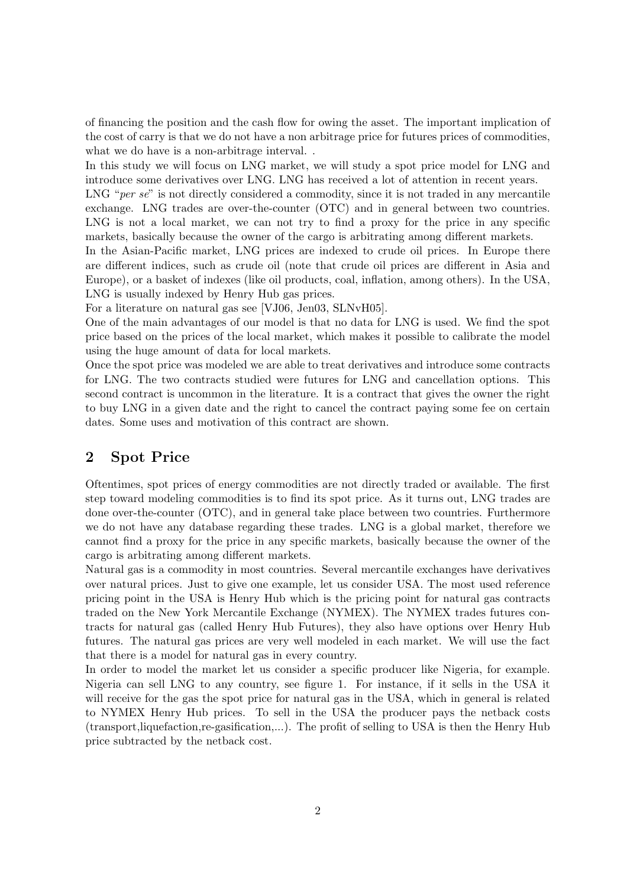of financing the position and the cash flow for owing the asset. The important implication of the cost of carry is that we do not have a non arbitrage price for futures prices of commodities, what we do have is a non-arbitrage interval...

In this study we will focus on LNG market, we will study a spot price model for LNG and introduce some derivatives over LNG. LNG has received a lot of attention in recent years.

LNG "per  $se$ " is not directly considered a commodity, since it is not traded in any mercantile exchange. LNG trades are over-the-counter (OTC) and in general between two countries. LNG is not a local market, we can not try to find a proxy for the price in any specific markets, basically because the owner of the cargo is arbitrating among different markets.

In the Asian-Pacific market, LNG prices are indexed to crude oil prices. In Europe there are different indices, such as crude oil (note that crude oil prices are different in Asia and Europe), or a basket of indexes (like oil products, coal, inflation, among others). In the USA, LNG is usually indexed by Henry Hub gas prices.

For a literature on natural gas see [VJ06, Jen03, SLNvH05].

One of the main advantages of our model is that no data for LNG is used. We find the spot price based on the prices of the local market, which makes it possible to calibrate the model using the huge amount of data for local markets.

Once the spot price was modeled we are able to treat derivatives and introduce some contracts for LNG. The two contracts studied were futures for LNG and cancellation options. This second contract is uncommon in the literature. It is a contract that gives the owner the right to buy LNG in a given date and the right to cancel the contract paying some fee on certain dates. Some uses and motivation of this contract are shown.

### 2 Spot Price

Oftentimes, spot prices of energy commodities are not directly traded or available. The first step toward modeling commodities is to find its spot price. As it turns out, LNG trades are done over-the-counter (OTC), and in general take place between two countries. Furthermore we do not have any database regarding these trades. LNG is a global market, therefore we cannot find a proxy for the price in any specific markets, basically because the owner of the cargo is arbitrating among different markets.

Natural gas is a commodity in most countries. Several mercantile exchanges have derivatives over natural prices. Just to give one example, let us consider USA. The most used reference pricing point in the USA is Henry Hub which is the pricing point for natural gas contracts traded on the New York Mercantile Exchange (NYMEX). The NYMEX trades futures contracts for natural gas (called Henry Hub Futures), they also have options over Henry Hub futures. The natural gas prices are very well modeled in each market. We will use the fact that there is a model for natural gas in every country.

In order to model the market let us consider a specific producer like Nigeria, for example. Nigeria can sell LNG to any country, see figure 1. For instance, if it sells in the USA it will receive for the gas the spot price for natural gas in the USA, which in general is related to NYMEX Henry Hub prices. To sell in the USA the producer pays the netback costs (transport,liquefaction,re-gasification,...). The profit of selling to USA is then the Henry Hub price subtracted by the netback cost.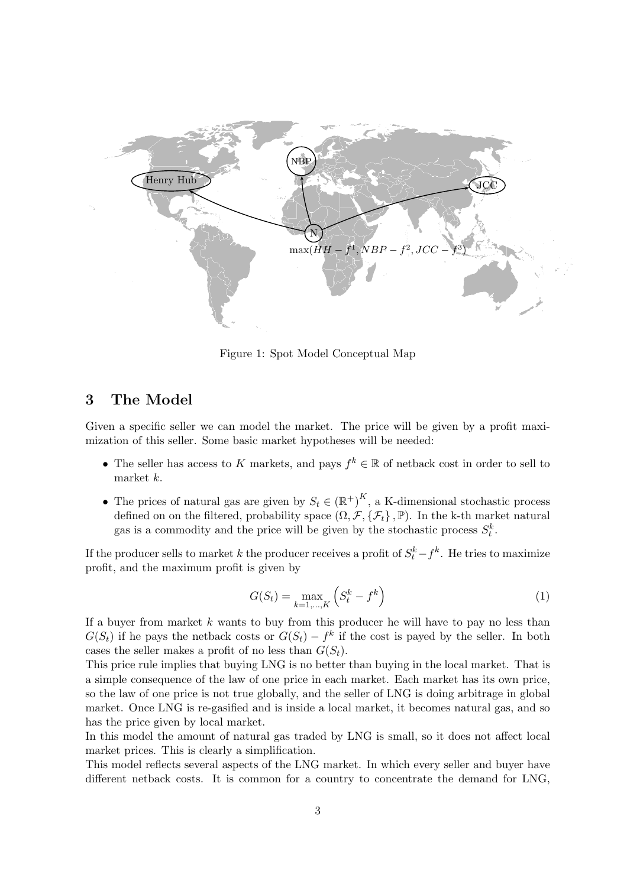

Figure 1: Spot Model Conceptual Map

#### 3 The Model

Given a specific seller we can model the market. The price will be given by a profit maximization of this seller. Some basic market hypotheses will be needed:

- The seller has access to K markets, and pays  $f^k \in \mathbb{R}$  of netback cost in order to sell to market k.
- The prices of natural gas are given by  $S_t \in (\mathbb{R}^+)^K$ , a K-dimensional stochastic process defined on on the filtered, probability space  $(\Omega, \mathcal{F}, \{\mathcal{F}_t\}, \mathbb{P})$ . In the k-th market natural gas is a commodity and the price will be given by the stochastic process  $S_t^k$ .

If the producer sells to market k the producer receives a profit of  $S_t^k - f^k$ . He tries to maximize profit, and the maximum profit is given by

$$
G(S_t) = \max_{k=1,\dots,K} \left( S_t^k - f^k \right) \tag{1}
$$

If a buyer from market  $k$  wants to buy from this producer he will have to pay no less than  $G(S_t)$  if he pays the netback costs or  $G(S_t) - f^k$  if the cost is payed by the seller. In both cases the seller makes a profit of no less than  $G(S_t)$ .

This price rule implies that buying LNG is no better than buying in the local market. That is a simple consequence of the law of one price in each market. Each market has its own price, so the law of one price is not true globally, and the seller of LNG is doing arbitrage in global market. Once LNG is re-gasified and is inside a local market, it becomes natural gas, and so has the price given by local market.

In this model the amount of natural gas traded by LNG is small, so it does not affect local market prices. This is clearly a simplification.

This model reflects several aspects of the LNG market. In which every seller and buyer have different netback costs. It is common for a country to concentrate the demand for LNG,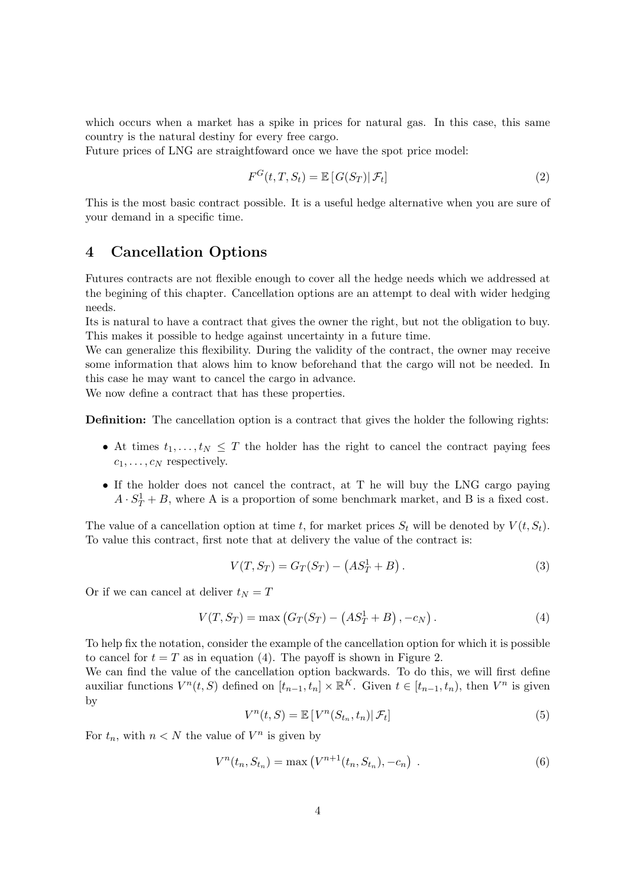which occurs when a market has a spike in prices for natural gas. In this case, this same country is the natural destiny for every free cargo.

Future prices of LNG are straightfoward once we have the spot price model:

$$
F^{G}(t, T, S_{t}) = \mathbb{E}\left[G(S_{T})|\mathcal{F}_{t}\right]
$$
\n(2)

This is the most basic contract possible. It is a useful hedge alternative when you are sure of your demand in a specific time.

#### 4 Cancellation Options

Futures contracts are not flexible enough to cover all the hedge needs which we addressed at the begining of this chapter. Cancellation options are an attempt to deal with wider hedging needs.

Its is natural to have a contract that gives the owner the right, but not the obligation to buy. This makes it possible to hedge against uncertainty in a future time.

We can generalize this flexibility. During the validity of the contract, the owner may receive some information that alows him to know beforehand that the cargo will not be needed. In this case he may want to cancel the cargo in advance.

We now define a contract that has these properties.

Definition: The cancellation option is a contract that gives the holder the following rights:

- At times  $t_1, \ldots, t_N \leq T$  the holder has the right to cancel the contract paying fees  $c_1, \ldots, c_N$  respectively.
- If the holder does not cancel the contract, at T he will buy the LNG cargo paying  $A \cdot S_T^1 + B$ , where A is a proportion of some benchmark market, and B is a fixed cost.

The value of a cancellation option at time t, for market prices  $S_t$  will be denoted by  $V(t, S_t)$ . To value this contract, first note that at delivery the value of the contract is:

$$
V(T, S_T) = G_T(S_T) - (AS_T^1 + B). \tag{3}
$$

Or if we can cancel at deliver  $t_N = T$ 

$$
V(T, S_T) = \max (G_T(S_T) - (AS_T^1 + B), -c_N). \tag{4}
$$

To help fix the notation, consider the example of the cancellation option for which it is possible to cancel for  $t = T$  as in equation (4). The payoff is shown in Figure 2.

We can find the value of the cancellation option backwards. To do this, we will first define auxiliar functions  $V^n(t, S)$  defined on  $[t_{n-1}, t_n] \times \mathbb{R}^K$ . Given  $t \in [t_{n-1}, t_n)$ , then  $V^n$  is given by

$$
V^n(t, S) = \mathbb{E}\left[V^n(S_{t_n}, t_n) | \mathcal{F}_t\right]
$$
\n<sup>(5)</sup>

For  $t_n$ , with  $n < N$  the value of  $V^n$  is given by

$$
V^{n}(t_{n}, S_{t_{n}}) = \max (V^{n+1}(t_{n}, S_{t_{n}}), -c_{n})
$$
 (6)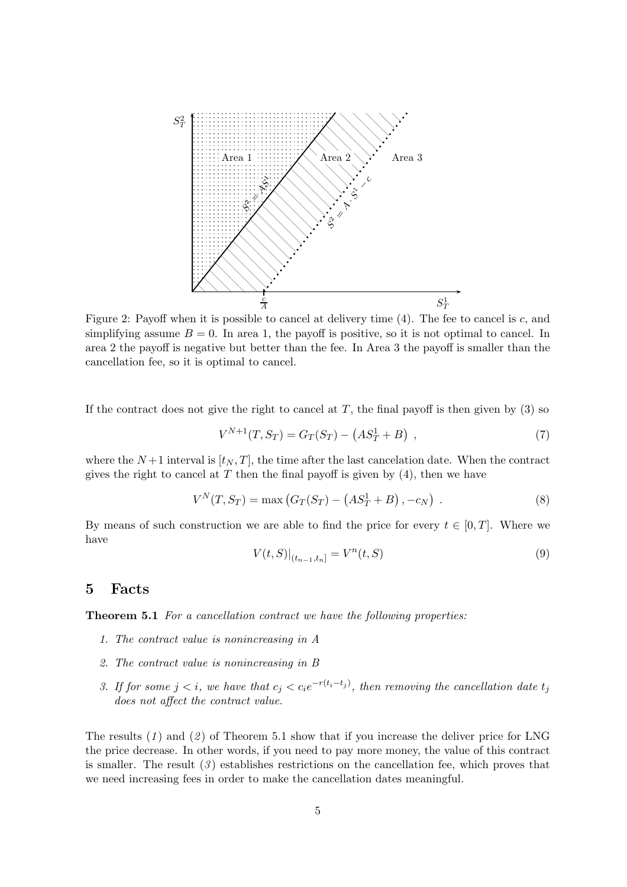

Figure 2: Payoff when it is possible to cancel at delivery time  $(4)$ . The fee to cancel is c, and simplifying assume  $B = 0$ . In area 1, the payoff is positive, so it is not optimal to cancel. In area 2 the payoff is negative but better than the fee. In Area 3 the payoff is smaller than the cancellation fee, so it is optimal to cancel.

If the contract does not give the right to cancel at  $T$ , the final payoff is then given by  $(3)$  so

$$
V^{N+1}(T, S_T) = G_T(S_T) - (AS_T^1 + B) \t\t(7)
$$

where the  $N+1$  interval is  $[t_N, T]$ , the time after the last cancelation date. When the contract gives the right to cancel at  $T$  then the final payoff is given by  $(4)$ , then we have

$$
V^{N}(T, S_{T}) = \max (G_{T}(S_{T}) - (AS_{T}^{1} + B), -c_{N}).
$$
\n(8)

By means of such construction we are able to find the price for every  $t \in [0, T]$ . Where we have

$$
V(t,S)|_{(t_{n-1},t_n]} = V^n(t,S)
$$
\n(9)

#### 5 Facts

Theorem 5.1 For a cancellation contract we have the following properties:

- 1. The contract value is nonincreasing in A
- 2. The contract value is nonincreasing in B
- 3. If for some  $j < i$ , we have that  $c_j < c_i e^{-r(t_i-t_j)}$ , then removing the cancellation date  $t_j$ does not affect the contract value.

The results  $(1)$  and  $(2)$  of Theorem 5.1 show that if you increase the deliver price for LNG the price decrease. In other words, if you need to pay more money, the value of this contract is smaller. The result  $(\beta)$  establishes restrictions on the cancellation fee, which proves that we need increasing fees in order to make the cancellation dates meaningful.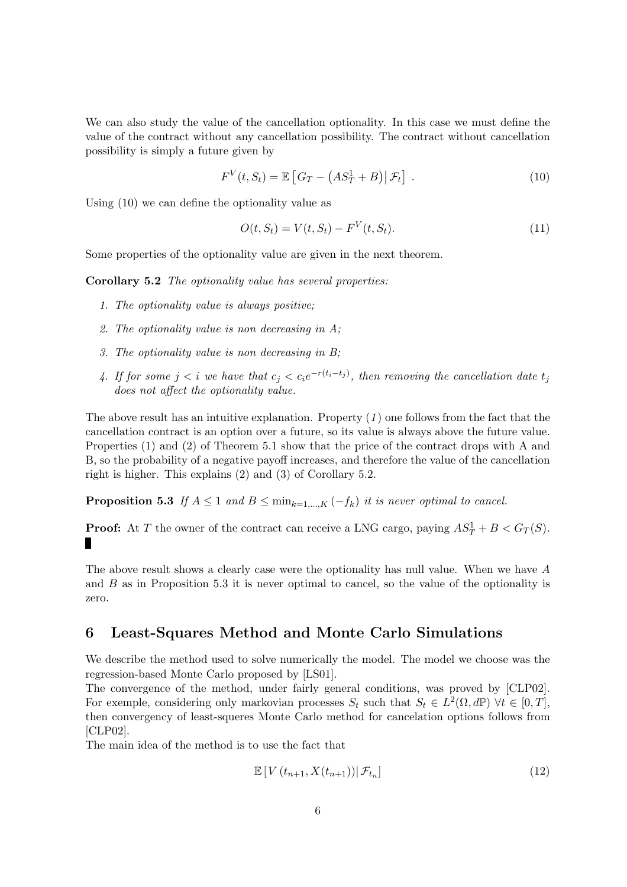We can also study the value of the cancellation optionality. In this case we must define the value of the contract without any cancellation possibility. The contract without cancellation possibility is simply a future given by

$$
F^{V}(t, S_{t}) = \mathbb{E}\left[G_{T} - \left(AS_{T}^{1} + B\right) | \mathcal{F}_{t}\right]. \tag{10}
$$

Using (10) we can define the optionality value as

$$
O(t, S_t) = V(t, S_t) - F^V(t, S_t).
$$
\n(11)

Some properties of the optionality value are given in the next theorem.

Corollary 5.2 The optionality value has several properties:

- 1. The optionality value is always positive;
- 2. The optionality value is non decreasing in A;
- 3. The optionality value is non decreasing in B;
- 4. If for some  $j < i$  we have that  $c_j < c_i e^{-r(t_i-t_j)}$ , then removing the cancellation date  $t_j$ does not affect the optionality value.

The above result has an intuitive explanation. Property  $(1)$  one follows from the fact that the cancellation contract is an option over a future, so its value is always above the future value. Properties (1) and (2) of Theorem 5.1 show that the price of the contract drops with A and B, so the probability of a negative payoff increases, and therefore the value of the cancellation right is higher. This explains (2) and (3) of Corollary 5.2.

**Proposition 5.3** If  $A \leq 1$  and  $B \leq \min_{k=1,\dots,K} (-f_k)$  it is never optimal to cancel.

**Proof:** At T the owner of the contract can receive a LNG cargo, paying  $AS_T^1 + B < G_T(S)$ . П

The above result shows a clearly case were the optionality has null value. When we have A and  $B$  as in Proposition 5.3 it is never optimal to cancel, so the value of the optionality is zero.

#### 6 Least-Squares Method and Monte Carlo Simulations

We describe the method used to solve numerically the model. The model we choose was the regression-based Monte Carlo proposed by [LS01].

The convergence of the method, under fairly general conditions, was proved by [CLP02]. For exemple, considering only markovian processes  $S_t$  such that  $S_t \in L^2(\Omega, d\mathbb{P})$   $\forall t \in [0, T]$ , then convergency of least-squeres Monte Carlo method for cancelation options follows from [CLP02].

The main idea of the method is to use the fact that

$$
\mathbb{E}\left[V\left(t_{n+1}, X(t_{n+1})\right)|\mathcal{F}_{t_n}\right] \tag{12}
$$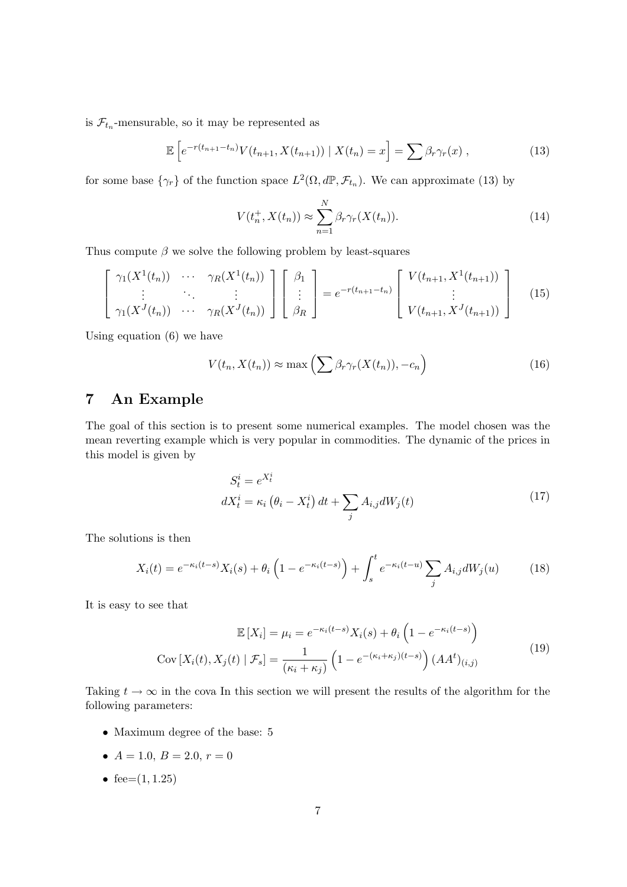is  $\mathcal{F}_{t_n}$ -mensurable, so it may be represented as

$$
\mathbb{E}\left[e^{-r(t_{n+1}-t_n)}V(t_{n+1},X(t_{n+1}))\mid X(t_n)=x\right]=\sum \beta_r \gamma_r(x)\,,\tag{13}
$$

for some base  $\{\gamma_r\}$  of the function space  $L^2(\Omega, d\mathbb{P}, \mathcal{F}_{t_n})$ . We can approximate (13) by

$$
V(t_n^+, X(t_n)) \approx \sum_{n=1}^N \beta_r \gamma_r(X(t_n)).
$$
\n(14)

Thus compute  $\beta$  we solve the following problem by least-squares

$$
\begin{bmatrix}\n\gamma_1(X^1(t_n)) & \cdots & \gamma_R(X^1(t_n)) \\
\vdots & \ddots & \vdots \\
\gamma_1(X^J(t_n)) & \cdots & \gamma_R(X^J(t_n))\n\end{bmatrix}\n\begin{bmatrix}\n\beta_1 \\
\vdots \\
\beta_R\n\end{bmatrix} = e^{-r(t_{n+1}-t_n)}\n\begin{bmatrix}\nV(t_{n+1}, X^1(t_{n+1})) \\
\vdots \\
V(t_{n+1}, X^J(t_{n+1}))\n\end{bmatrix}
$$
\n(15)

Using equation (6) we have

$$
V(t_n, X(t_n)) \approx \max\left(\sum \beta_r \gamma_r(X(t_n)), -c_n\right)
$$
\n(16)

## 7 An Example

The goal of this section is to present some numerical examples. The model chosen was the mean reverting example which is very popular in commodities. The dynamic of the prices in this model is given by

$$
S_t^i = e^{X_t^i}
$$
  

$$
dX_t^i = \kappa_i \left(\theta_i - X_t^i\right) dt + \sum_j A_{i,j} dW_j(t)
$$
 (17)

The solutions is then

$$
X_i(t) = e^{-\kappa_i(t-s)} X_i(s) + \theta_i \left( 1 - e^{-\kappa_i(t-s)} \right) + \int_s^t e^{-\kappa_i(t-u)} \sum_j A_{i,j} dW_j(u) \tag{18}
$$

It is easy to see that

$$
\mathbb{E}\left[X_i\right] = \mu_i = e^{-\kappa_i(t-s)} X_i(s) + \theta_i \left(1 - e^{-\kappa_i(t-s)}\right)
$$
  
Cov
$$
\left[X_i(t), X_j(t) \mid \mathcal{F}_s\right] = \frac{1}{(\kappa_i + \kappa_j)} \left(1 - e^{-(\kappa_i + \kappa_j)(t-s)}\right) (AA^t)_{(i,j)}
$$
(19)

Taking  $t \to \infty$  in the cova In this section we will present the results of the algorithm for the following parameters:

- Maximum degree of the base: 5
- $A = 1.0, B = 2.0, r = 0$
- fee $=(1, 1.25)$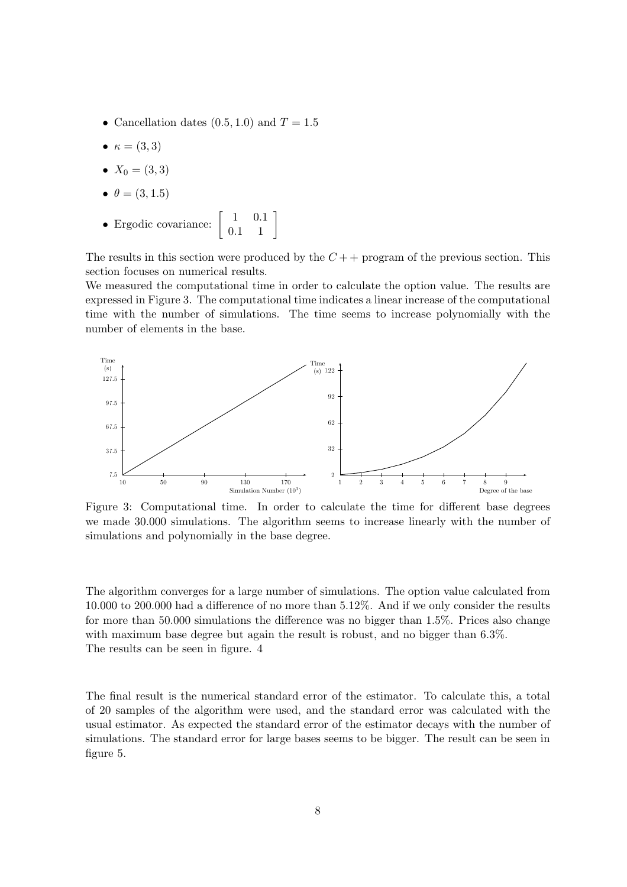- Cancellation dates  $(0.5, 1.0)$  and  $T = 1.5$
- $\kappa = (3, 3)$
- $X_0 = (3, 3)$
- $\bullet$   $\theta = (3, 1.5)$
- Ergodic covariance:  $\begin{bmatrix} 1 & 0.1 \\ 0.1 & 1 \end{bmatrix}$

The results in this section were produced by the  $C_{+}$  program of the previous section. This section focuses on numerical results.

We measured the computational time in order to calculate the option value. The results are expressed in Figure 3. The computational time indicates a linear increase of the computational time with the number of simulations. The time seems to increase polynomially with the number of elements in the base.



Figure 3: Computational time. In order to calculate the time for different base degrees we made 30.000 simulations. The algorithm seems to increase linearly with the number of simulations and polynomially in the base degree.

The algorithm converges for a large number of simulations. The option value calculated from 10.000 to 200.000 had a difference of no more than 5.12%. And if we only consider the results for more than 50.000 simulations the difference was no bigger than 1.5%. Prices also change with maximum base degree but again the result is robust, and no bigger than 6.3%. The results can be seen in figure. 4

The final result is the numerical standard error of the estimator. To calculate this, a total of 20 samples of the algorithm were used, and the standard error was calculated with the usual estimator. As expected the standard error of the estimator decays with the number of simulations. The standard error for large bases seems to be bigger. The result can be seen in figure 5.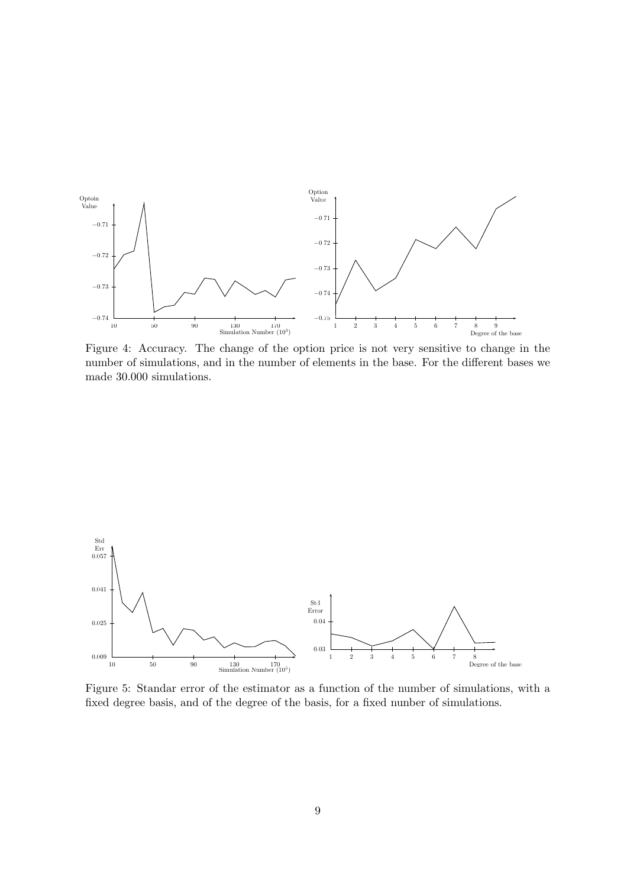

Figure 4: Accuracy. The change of the option price is not very sensitive to change in the number of simulations, and in the number of elements in the base. For the different bases we made 30.000 simulations.



Figure 5: Standar error of the estimator as a function of the number of simulations, with a fixed degree basis, and of the degree of the basis, for a fixed nunber of simulations.